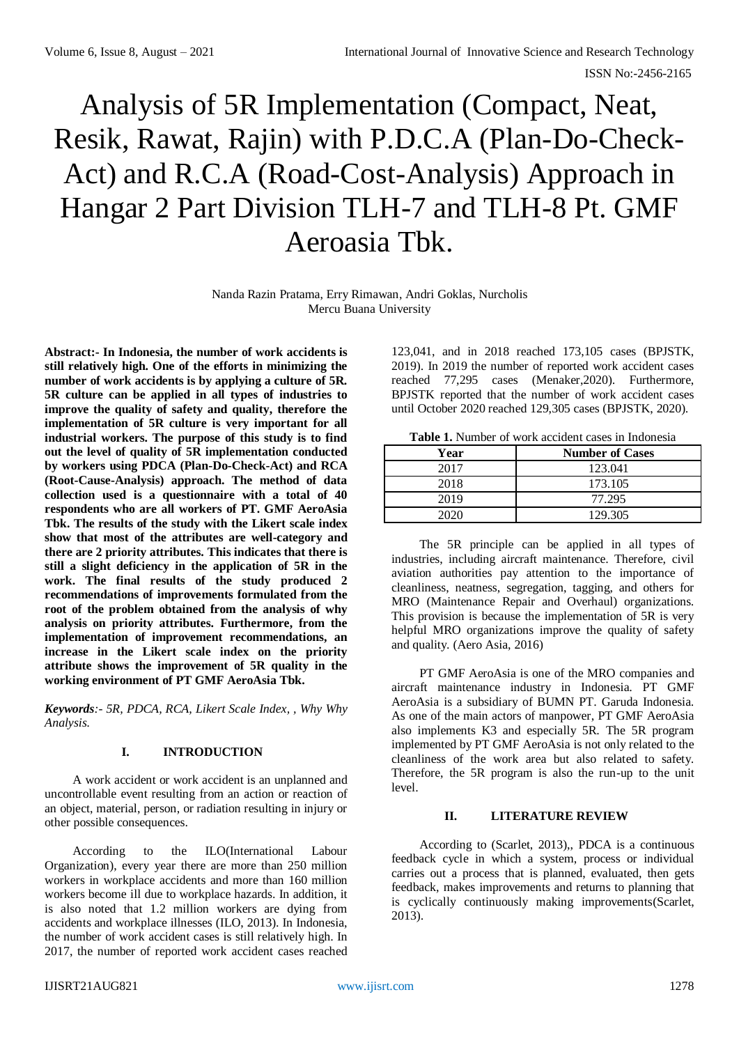# Analysis of 5R Implementation (Compact, Neat, Resik, Rawat, Rajin) with P.D.C.A (Plan-Do-Check-Act) and R.C.A (Road-Cost-Analysis) Approach in Hangar 2 Part Division TLH-7 and TLH-8 Pt. GMF Aeroasia Tbk.

Nanda Razin Pratama, Erry Rimawan, Andri Goklas, Nurcholis Mercu Buana University

**Abstract:- In Indonesia, the number of work accidents is still relatively high. One of the efforts in minimizing the number of work accidents is by applying a culture of 5R. 5R culture can be applied in all types of industries to improve the quality of safety and quality, therefore the implementation of 5R culture is very important for all industrial workers. The purpose of this study is to find out the level of quality of 5R implementation conducted by workers using PDCA (Plan-Do-Check-Act) and RCA (Root-Cause-Analysis) approach. The method of data collection used is a questionnaire with a total of 40 respondents who are all workers of PT. GMF AeroAsia Tbk. The results of the study with the Likert scale index show that most of the attributes are well-category and there are 2 priority attributes. This indicates that there is still a slight deficiency in the application of 5R in the work. The final results of the study produced 2 recommendations of improvements formulated from the root of the problem obtained from the analysis of why analysis on priority attributes. Furthermore, from the implementation of improvement recommendations, an increase in the Likert scale index on the priority attribute shows the improvement of 5R quality in the working environment of PT GMF AeroAsia Tbk.**

*Keywords:- 5R, PDCA, RCA, Likert Scale Index, , Why Why Analysis.*

# **I. INTRODUCTION**

A work accident or work accident is an unplanned and uncontrollable event resulting from an action or reaction of an object, material, person, or radiation resulting in injury or other possible consequences.

According to the ILO(International Labour Organization), every year there are more than 250 million workers in workplace accidents and more than 160 million workers become ill due to workplace hazards. In addition, it is also noted that 1.2 million workers are dying from accidents and workplace illnesses (ILO, 2013). In Indonesia, the number of work accident cases is still relatively high. In 2017, the number of reported work accident cases reached

123,041, and in 2018 reached 173,105 cases (BPJSTK, 2019). In 2019 the number of reported work accident cases reached 77,295 cases (Menaker,2020). Furthermore, BPJSTK reported that the number of work accident cases until October 2020 reached 129,305 cases (BPJSTK, 2020).

**Table 1.** Number of work accident cases in Indonesia

| Year | <b>Number of Cases</b> |
|------|------------------------|
| 2017 | 123.041                |
| 2018 | 173.105                |
| 2019 | 77.295                 |
| ാറാറ | 129.305                |

The 5R principle can be applied in all types of industries, including aircraft maintenance. Therefore, civil aviation authorities pay attention to the importance of cleanliness, neatness, segregation, tagging, and others for MRO (Maintenance Repair and Overhaul) organizations. This provision is because the implementation of 5R is very helpful MRO organizations improve the quality of safety and quality. (Aero Asia, 2016)

PT GMF AeroAsia is one of the MRO companies and aircraft maintenance industry in Indonesia. PT GMF AeroAsia is a subsidiary of BUMN PT. Garuda Indonesia. As one of the main actors of manpower, PT GMF AeroAsia also implements K3 and especially 5R. The 5R program implemented by PT GMF AeroAsia is not only related to the cleanliness of the work area but also related to safety. Therefore, the 5R program is also the run-up to the unit level.

# **II. LITERATURE REVIEW**

According to (Scarlet, 2013),, PDCA is a continuous feedback cycle in which a system, process or individual carries out a process that is planned, evaluated, then gets feedback, makes improvements and returns to planning that is cyclically continuously making improvements(Scarlet, 2013).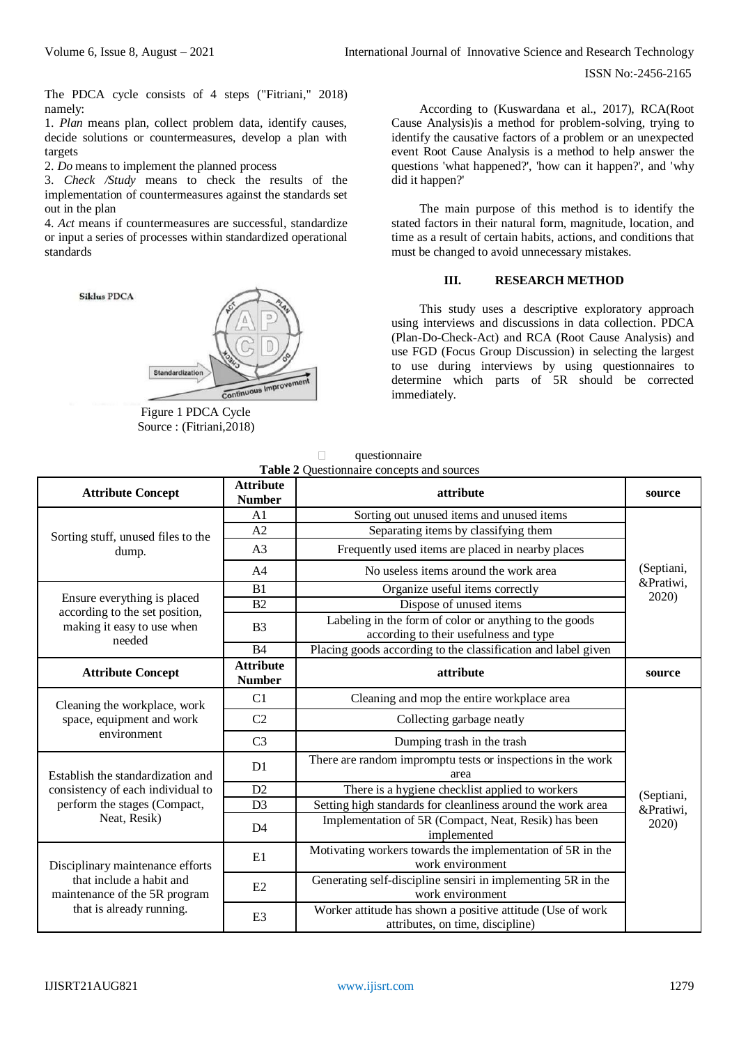ISSN No:-2456-2165

The PDCA cycle consists of 4 steps ("Fitriani," 2018) namely:

1. *Plan* means plan, collect problem data, identify causes, decide solutions or countermeasures, develop a plan with targets

2. *Do* means to implement the planned process

3. *Check /Study* means to check the results of the implementation of countermeasures against the standards set out in the plan

4. *Act* means if countermeasures are successful, standardize or input a series of processes within standardized operational standards



Figure 1 PDCA Cycle Source : (Fitriani,2018)

According to (Kuswardana et al., 2017), RCA(Root Cause Analysis)is a method for problem-solving, trying to identify the causative factors of a problem or an unexpected event Root Cause Analysis is a method to help answer the questions 'what happened?', 'how can it happen?', and 'why did it happen?'

The main purpose of this method is to identify the stated factors in their natural form, magnitude, location, and time as a result of certain habits, actions, and conditions that must be changed to avoid unnecessary mistakes.

#### **III. RESEARCH METHOD**

This study uses a descriptive exploratory approach using interviews and discussions in data collection. PDCA (Plan-Do-Check-Act) and RCA (Root Cause Analysis) and use FGD (Focus Group Discussion) in selecting the largest to use during interviews by using questionnaires to determine which parts of 5R should be corrected immediately.

 $\Box$  questionnaire **Table 2** Questionnaire concepts and sources

| <b>Attribute Concept</b>                                               | <b>Attribute</b><br><b>Number</b> | attribute                                                                                        | source                  |  |
|------------------------------------------------------------------------|-----------------------------------|--------------------------------------------------------------------------------------------------|-------------------------|--|
|                                                                        | A1                                | Sorting out unused items and unused items                                                        |                         |  |
| Sorting stuff, unused files to the                                     | A2                                | Separating items by classifying them                                                             |                         |  |
| dump.                                                                  | A <sub>3</sub>                    | Frequently used items are placed in nearby places                                                |                         |  |
|                                                                        | A <sub>4</sub>                    | No useless items around the work area                                                            | (Septiani,<br>&Pratiwi, |  |
|                                                                        | B <sub>1</sub>                    | Organize useful items correctly                                                                  |                         |  |
| Ensure everything is placed                                            | B <sub>2</sub>                    | Dispose of unused items                                                                          | 2020)                   |  |
| according to the set position,<br>making it easy to use when<br>needed | B <sub>3</sub>                    | Labeling in the form of color or anything to the goods<br>according to their usefulness and type |                         |  |
|                                                                        | B <sub>4</sub>                    | Placing goods according to the classification and label given                                    |                         |  |
| <b>Attribute Concept</b>                                               | <b>Attribute</b><br><b>Number</b> | attribute                                                                                        | source                  |  |
| Cleaning the workplace, work                                           | C <sub>1</sub>                    | Cleaning and mop the entire workplace area                                                       |                         |  |
| space, equipment and work                                              | C <sub>2</sub>                    | Collecting garbage neatly                                                                        |                         |  |
| environment                                                            | C <sub>3</sub>                    | Dumping trash in the trash                                                                       |                         |  |
| Establish the standardization and                                      | D <sub>1</sub>                    | There are random impromptu tests or inspections in the work<br>area                              |                         |  |
| consistency of each individual to                                      | D2                                | There is a hygiene checklist applied to workers                                                  |                         |  |
| perform the stages (Compact,                                           | D <sub>3</sub>                    | Setting high standards for cleanliness around the work area                                      |                         |  |
| Neat, Resik)                                                           | D <sub>4</sub>                    | Implementation of 5R (Compact, Neat, Resik) has been<br>implemented                              | &Pratiwi,<br>2020)      |  |
| Disciplinary maintenance efforts                                       | E1                                | Motivating workers towards the implementation of 5R in the<br>work environment                   |                         |  |
| that include a habit and<br>maintenance of the 5R program              | E2                                | Generating self-discipline sensiri in implementing 5R in the<br>work environment                 |                         |  |
| that is already running.                                               | E <sub>3</sub>                    | Worker attitude has shown a positive attitude (Use of work<br>attributes, on time, discipline)   |                         |  |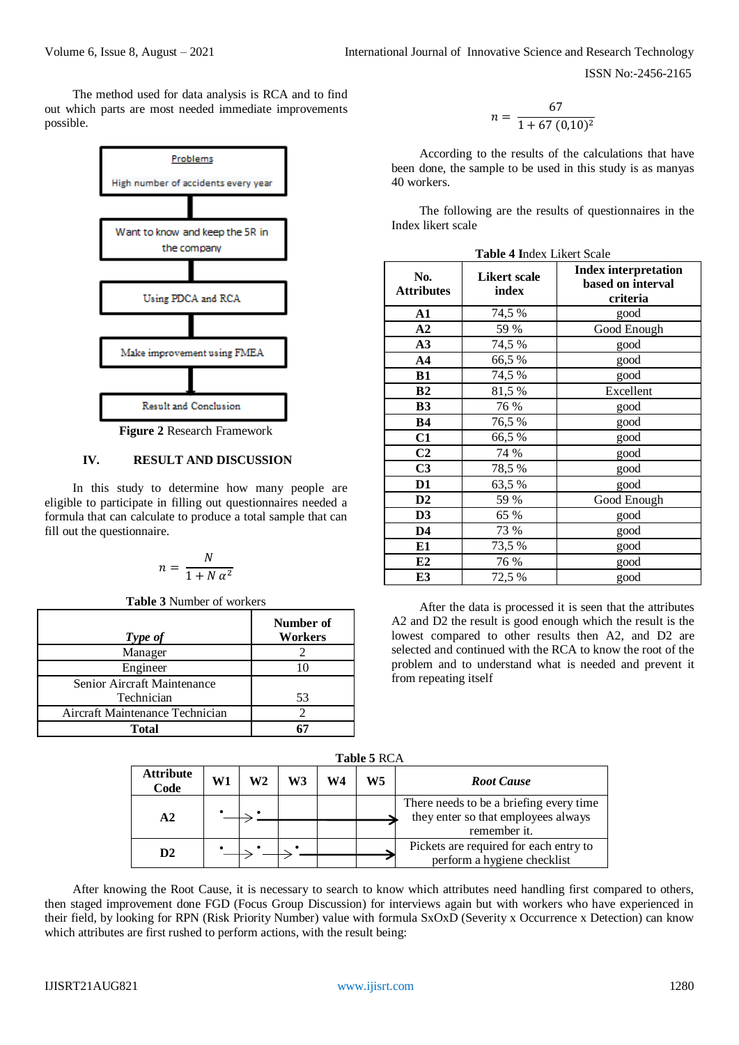ISSN No:-2456-2165

The method used for data analysis is RCA and to find out which parts are most needed immediate improvements possible.



## **IV. RESULT AND DISCUSSION**

In this study to determine how many people are eligible to participate in filling out questionnaires needed a formula that can calculate to produce a total sample that can fill out the questionnaire.

$$
n = \frac{N}{1 + N \alpha^2}
$$

**Table 3** Number of workers

| Type of                         | Number of<br>Workers |
|---------------------------------|----------------------|
| Manager                         |                      |
| Engineer                        |                      |
| Senior Aircraft Maintenance     |                      |
| Technician                      | 53                   |
| Aircraft Maintenance Technician |                      |
| <b>Total</b>                    |                      |

$$
n = \frac{67}{1 + 67 (0, 10)^2}
$$

According to the results of the calculations that have been done, the sample to be used in this study is as manyas 40 workers.

The following are the results of questionnaires in the Index likert scale

| <b>Table 4 Index Likert Scale</b> |  |  |  |
|-----------------------------------|--|--|--|
|-----------------------------------|--|--|--|

| No.<br><b>Attributes</b> | <b>Likert scale</b><br>index | <b>Index interpretation</b><br>based on interval<br>criteria |  |  |
|--------------------------|------------------------------|--------------------------------------------------------------|--|--|
| A1                       | 74,5 %                       | good                                                         |  |  |
| A2                       | 59 %                         | Good Enough                                                  |  |  |
| A3                       | 74,5 %                       | good                                                         |  |  |
| AA                       | 66,5%                        | good                                                         |  |  |
| <b>B1</b>                | 74,5 %                       | good                                                         |  |  |
| B <sub>2</sub>           | 81,5%                        | Excellent                                                    |  |  |
| <b>B3</b>                | 76 %                         | good                                                         |  |  |
| <b>B4</b>                | 76,5 %                       | good                                                         |  |  |
| C1                       | 66,5%                        | good                                                         |  |  |
| C <sub>2</sub>           | 74 %                         | good                                                         |  |  |
| C <sub>3</sub>           | 78,5%                        | good                                                         |  |  |
| D1                       | 63,5%                        | good                                                         |  |  |
| D2                       | 59 %                         | Good Enough                                                  |  |  |
| D3                       | 65 %                         | good                                                         |  |  |
| D <sub>4</sub>           | 73 %                         | good                                                         |  |  |
| E1                       | 73,5 %                       | good                                                         |  |  |
| E2                       | 76 %<br>good                 |                                                              |  |  |
| E3                       | 72,5 %                       | good                                                         |  |  |

After the data is processed it is seen that the attributes A2 and D2 the result is good enough which the result is the lowest compared to other results then A2, and D2 are selected and continued with the RCA to know the root of the problem and to understand what is needed and prevent it from repeating itself

**Table 5** RCA

| Attribute<br>Code | W1 | W2 | W3 | W4 | W <sub>5</sub> | <b>Root Cause</b>                                                                              |
|-------------------|----|----|----|----|----------------|------------------------------------------------------------------------------------------------|
| A2                |    |    |    |    |                | There needs to be a briefing every time<br>they enter so that employees always<br>remember it. |
| D2                |    |    |    |    |                | Pickets are required for each entry to<br>perform a hygiene checklist                          |

After knowing the Root Cause, it is necessary to search to know which attributes need handling first compared to others, then staged improvement done FGD (Focus Group Discussion) for interviews again but with workers who have experienced in their field, by looking for RPN (Risk Priority Number) value with formula SxOxD (Severity x Occurrence x Detection) can know which attributes are first rushed to perform actions, with the result being: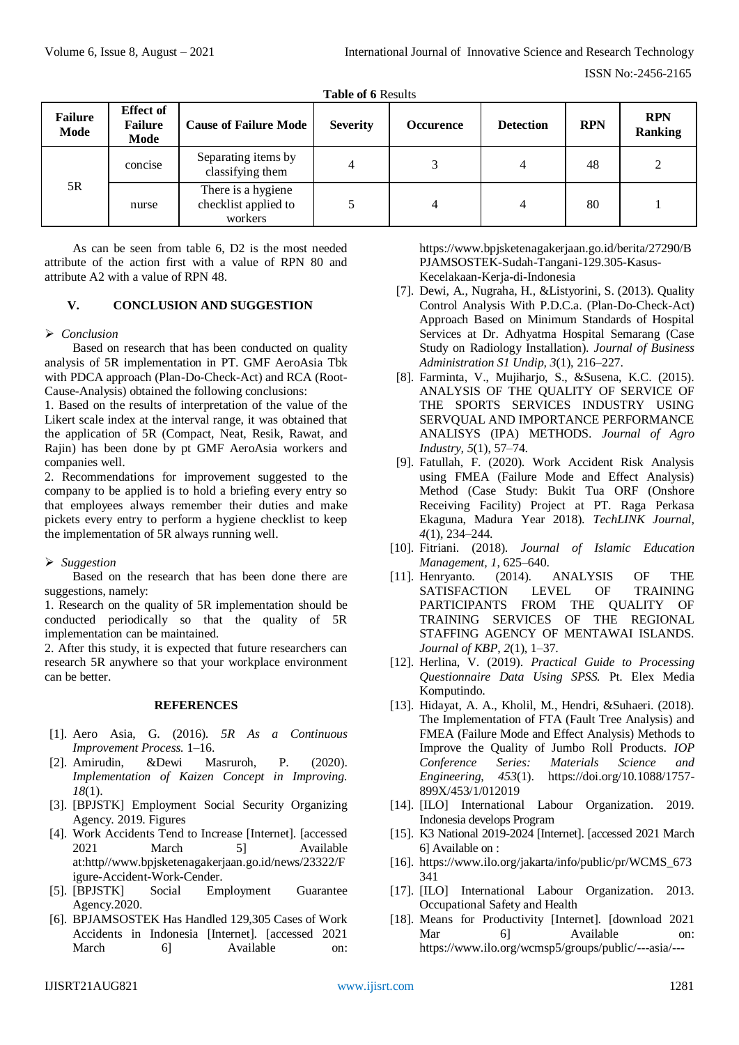| <b>Table of 6 Results</b> |  |
|---------------------------|--|
|---------------------------|--|

| <b>Failure</b><br>Mode | <b>Effect of</b><br><b>Failure</b><br>Mode | <b>Cause of Failure Mode</b>                          | <b>Severity</b> | <b>Occurence</b> | <b>Detection</b> | <b>RPN</b> | <b>RPN</b><br><b>Ranking</b> |
|------------------------|--------------------------------------------|-------------------------------------------------------|-----------------|------------------|------------------|------------|------------------------------|
| 5R                     | concise                                    | Separating items by<br>classifying them               |                 |                  | 4                | 48         |                              |
|                        | nurse                                      | There is a hygiene<br>checklist applied to<br>workers |                 | 4                | 4                | 80         |                              |

As can be seen from table 6, D2 is the most needed attribute of the action first with a value of RPN 80 and attribute A2 with a value of RPN 48.

# **V. CONCLUSION AND SUGGESTION**

## *Conclusion*

Based on research that has been conducted on quality analysis of 5R implementation in PT. GMF AeroAsia Tbk with PDCA approach (Plan-Do-Check-Act) and RCA (Root-Cause-Analysis) obtained the following conclusions:

1. Based on the results of interpretation of the value of the Likert scale index at the interval range, it was obtained that the application of 5R (Compact, Neat, Resik, Rawat, and Rajin) has been done by pt GMF AeroAsia workers and companies well.

2. Recommendations for improvement suggested to the company to be applied is to hold a briefing every entry so that employees always remember their duties and make pickets every entry to perform a hygiene checklist to keep the implementation of 5R always running well.

# *Suggestion*

Based on the research that has been done there are suggestions, namely:

1. Research on the quality of 5R implementation should be conducted periodically so that the quality of 5R implementation can be maintained.

2. After this study, it is expected that future researchers can research 5R anywhere so that your workplace environment can be better.

#### **REFERENCES**

- [1]. Aero Asia, G. (2016). *5R As a Continuous Improvement Process.* 1–16.
- [2]. Amirudin, &Dewi Masruroh, P. (2020). *Implementation of Kaizen Concept in Improving. 18*(1).
- [3]. [BPJSTK] Employment Social Security Organizing Agency. 2019. Figures
- [4]. Work Accidents Tend to Increase [Internet]. [accessed 2021 March 5] Available at:http[//www.bpjsketenagakerjaan.go.id/n](http://www.bpjsketenagakerjaan.go.id/)ews/23322/F igure-Accident-Work-Cender.
- [5]. [BPJSTK] Social Employment Guarantee Agency.2020.
- [6]. BPJAMSOSTEK Has Handled 129,305 Cases of Work Accidents in Indonesia [Internet]. [accessed 2021 March 6] Available on:

https://www.bpjsketenagakerjaan.go.id/berita/27290/B PJAMSOSTEK-Sudah-Tangani-129.305-Kasus-Kecelakaan-Kerja-di-Indonesia

- [7]. Dewi, A., Nugraha, H., &Listyorini, S. (2013). Quality Control Analysis With P.D.C.a. (Plan-Do-Check-Act) Approach Based on Minimum Standards of Hospital Services at Dr. Adhyatma Hospital Semarang (Case Study on Radiology Installation). *Journal of Business Administration S1 Undip, 3*(1), 216–227.
- [8]. Farminta, V., Mujiharjo, S., &Susena, K.C. (2015). ANALYSIS OF THE QUALITY OF SERVICE OF THE SPORTS SERVICES INDUSTRY USING SERVQUAL AND IMPORTANCE PERFORMANCE ANALISYS (IPA) METHODS. *Journal of Agro Industry, 5*(1), 57–74.
- [9]. Fatullah, F. (2020). Work Accident Risk Analysis using FMEA (Failure Mode and Effect Analysis) Method (Case Study: Bukit Tua ORF (Onshore Receiving Facility) Project at PT. Raga Perkasa Ekaguna, Madura Year 2018). *TechLINK Journal, 4*(1), 234–244.
- [10]. Fitriani. (2018). *Journal of Islamic Education Management, 1*, 625–640.
- [11]. Henryanto. (2014). ANALYSIS OF THE SATISFACTION LEVEL OF TRAINING PARTICIPANTS FROM THE QUALITY OF TRAINING SERVICES OF THE REGIONAL STAFFING AGENCY OF MENTAWAI ISLANDS. *Journal of KBP*, *2*(1), 1–37.
- [12]. Herlina, V. (2019). *Practical Guide to Processing Questionnaire Data Using SPSS.* Pt. Elex Media Komputindo.
- [13]. Hidayat, A. A., Kholil, M., Hendri, &Suhaeri. (2018). The Implementation of FTA (Fault Tree Analysis) and FMEA (Failure Mode and Effect Analysis) Methods to Improve the Quality of Jumbo Roll Products. *IOP Conference Series: Materials Science and Engineering*, *453*(1). https://doi.org/10.1088/1757- 899X/453/1/012019
- [14]. [ILO] International Labour Organization. 2019. Indonesia develops Program
- [15]. K3 National 2019-2024 [Internet]. [accessed 2021 March 6] Available on :
- [16]. https://www.ilo.org/jakarta/info/public/pr/WCMS\_673 341
- [17]. [ILO] International Labour Organization. 2013. Occupational Safety and Health
- [18]. Means for Productivity [Internet]. [download 2021] Mar 61 Available on: [https://www.ilo.org/wcmsp5/groups/public/---asia/---](https://www.ilo.org/wcmsp5/groups/public/---asia/---ro-bangkok/---ilo-jakarta/documents/publication/wcms_237650.pdf)